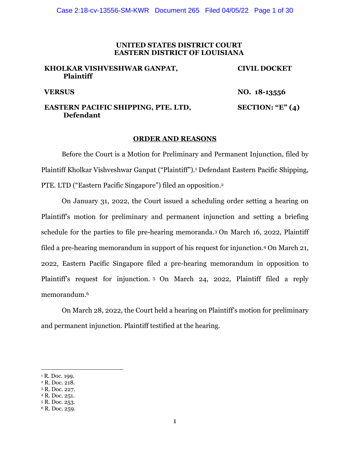#### **UNITED STATES DISTRICT COURT EASTERN DISTRICT OF LOUISIANA**

### **KHOLKAR VISHVESHWAR GANPAT, Plaintiff**

**CIVIL DOCKET** 

**VERSUS NO. 18-13556** 

## **EASTERN PACIFIC SHIPPING, PTE. LTD, Defendant**

# **SECTION: "E" (4)**

### **ORDER AND REASONS**

 Before the Court is a Motion for Preliminary and Permanent Injunction, filed by Plaintiff Kholkar Vishveshwar Ganpat ("Plaintiff").1 Defendant Eastern Pacific Shipping, PTE. LTD ("Eastern Pacific Singapore") filed an opposition.2

 On January 31, 2022, the Court issued a scheduling order setting a hearing on Plaintiff's motion for preliminary and permanent injunction and setting a briefing schedule for the parties to file pre-hearing memoranda.3 On March 16, 2022, Plaintiff filed a pre-hearing memorandum in support of his request for injunction.4 On March 21, 2022, Eastern Pacific Singapore filed a pre-hearing memorandum in opposition to Plaintiff's request for injunction. 5 On March 24, 2022, Plaintiff filed a reply memorandum.6

 On March 28, 2022, the Court held a hearing on Plaintiff's motion for preliminary and permanent injunction. Plaintiff testified at the hearing.

<sup>&</sup>lt;sup>1</sup> R. Doc. 199.

<sup>2</sup> R. Doc. 218.

<sup>3</sup> R. Doc. 227.

<sup>4</sup> R. Doc. 251.

<sup>5</sup> R. Doc. 253.

<sup>6</sup> R. Doc. 259.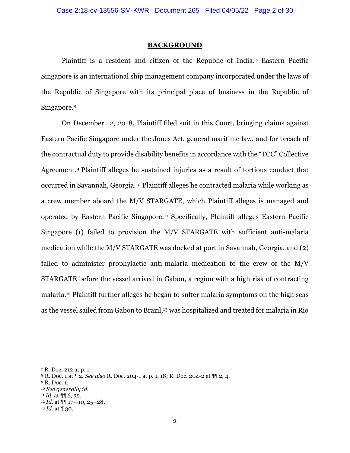#### **BACKGROUND**

Plaintiff is a resident and citizen of the Republic of India. 7 Eastern Pacific Singapore is an international ship management company incorporated under the laws of the Republic of Singapore with its principal place of business in the Republic of Singapore.<sup>8</sup>

On December 12, 2018, Plaintiff filed suit in this Court, bringing claims against Eastern Pacific Singapore under the Jones Act, general maritime law, and for breach of the contractual duty to provide disability benefits in accordance with the "TCC" Collective Agreement.9 Plaintiff alleges he sustained injuries as a result of tortious conduct that occurred in Savannah, Georgia.10 Plaintiff alleges he contracted malaria while working as a crew member aboard the M/V STARGATE, which Plaintiff alleges is managed and operated by Eastern Pacific Singapore. 11 Specifically, Plaintiff alleges Eastern Pacific Singapore (1) failed to provision the M/V STARGATE with sufficient anti-malaria medication while the M/V STARGATE was docked at port in Savannah, Georgia, and (2) failed to administer prophylactic anti-malaria medication to the crew of the M/V STARGATE before the vessel arrived in Gabon, a region with a high risk of contracting malaria.12 Plaintiff further alleges he began to suffer malaria symptoms on the high seas as the vessel sailed from Gabon to Brazil,<sup>13</sup> was hospitalized and treated for malaria in Rio

9 R. Doc. 1.

<sup>7</sup> R. Doc. 212 at p. 1.

<sup>8</sup> R. Doc. 1 at ¶ 2. *See also* R. Doc. 204-1 at p. 1, 18; R. Doc. 204-2 at ¶¶ 2, 4.

<sup>10</sup> *See generally id.*

<sup>11</sup> *Id.* at ¶¶ 6, 32. 12 *Id.* at ¶¶ 17—10, 25–28.

<sup>13</sup> *Id.* at ¶ 30.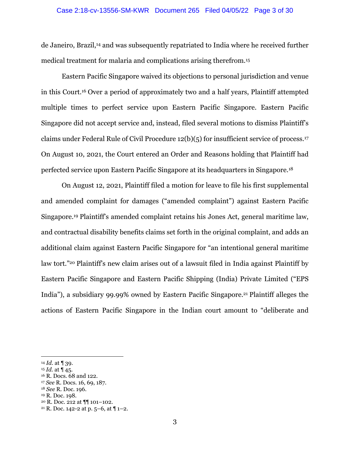#### Case 2:18-cv-13556-SM-KWR Document 265 Filed 04/05/22 Page 3 of 30

de Janeiro, Brazil,14 and was subsequently repatriated to India where he received further medical treatment for malaria and complications arising therefrom.15

Eastern Pacific Singapore waived its objections to personal jurisdiction and venue in this Court.16 Over a period of approximately two and a half years, Plaintiff attempted multiple times to perfect service upon Eastern Pacific Singapore. Eastern Pacific Singapore did not accept service and, instead, filed several motions to dismiss Plaintiff's claims under Federal Rule of Civil Procedure 12(b)(5) for insufficient service of process.17 On August 10, 2021, the Court entered an Order and Reasons holding that Plaintiff had perfected service upon Eastern Pacific Singapore at its headquarters in Singapore.18

On August 12, 2021, Plaintiff filed a motion for leave to file his first supplemental and amended complaint for damages ("amended complaint") against Eastern Pacific Singapore.19 Plaintiff's amended complaint retains his Jones Act, general maritime law, and contractual disability benefits claims set forth in the original complaint, and adds an additional claim against Eastern Pacific Singapore for "an intentional general maritime law tort."<sup>20</sup> Plaintiff's new claim arises out of a lawsuit filed in India against Plaintiff by Eastern Pacific Singapore and Eastern Pacific Shipping (India) Private Limited ("EPS India"), a subsidiary 99.99% owned by Eastern Pacific Singapore.21 Plaintiff alleges the actions of Eastern Pacific Singapore in the Indian court amount to "deliberate and

<sup>14</sup> *Id.* at ¶ 39.

<sup>15</sup> *Id.* at ¶ 45.

<sup>16</sup> R. Docs. 68 and 122.

<sup>17</sup> *See* R. Docs. 16, 69, 187.

<sup>18</sup> *See* R. Doc. 196.

<sup>&</sup>lt;sup>19</sup> R. Doc. 198.<br><sup>20</sup> R. Doc. 212 at ¶¶ 101–102.

<sup>&</sup>lt;sup>21</sup> R. Doc. 142-2 at p. 5–6, at  $\P$  1–2.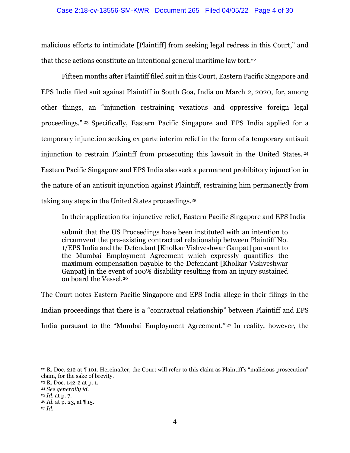#### Case 2:18-cv-13556-SM-KWR Document 265 Filed 04/05/22 Page 4 of 30

malicious efforts to intimidate [Plaintiff] from seeking legal redress in this Court," and that these actions constitute an intentional general maritime law tort.22

Fifteen months after Plaintiff filed suit in this Court, Eastern Pacific Singapore and EPS India filed suit against Plaintiff in South Goa, India on March 2, 2020, for, among other things, an "injunction restraining vexatious and oppressive foreign legal proceedings." 23 Specifically, Eastern Pacific Singapore and EPS India applied for a temporary injunction seeking ex parte interim relief in the form of a temporary antisuit injunction to restrain Plaintiff from prosecuting this lawsuit in the United States. <sup>24</sup> Eastern Pacific Singapore and EPS India also seek a permanent prohibitory injunction in the nature of an antisuit injunction against Plaintiff, restraining him permanently from taking any steps in the United States proceedings.25

In their application for injunctive relief, Eastern Pacific Singapore and EPS India

submit that the US Proceedings have been instituted with an intention to circumvent the pre-existing contractual relationship between Plaintiff No. 1/EPS India and the Defendant [Kholkar Vishveshwar Ganpat] pursuant to the Mumbai Employment Agreement which expressly quantifies the maximum compensation payable to the Defendant [Kholkar Vishveshwar Ganpat] in the event of 100% disability resulting from an injury sustained on board the Vessel.26

The Court notes Eastern Pacific Singapore and EPS India allege in their filings in the Indian proceedings that there is a "contractual relationship" between Plaintiff and EPS India pursuant to the "Mumbai Employment Agreement." 27 In reality, however, the

<sup>&</sup>lt;sup>22</sup> R. Doc. 212 at ¶ 101. Hereinafter, the Court will refer to this claim as Plaintiff's "malicious prosecution" claim, for the sake of brevity.

<sup>23</sup> R. Doc. 142-2 at p. 1.

<sup>24</sup> *See generally id.*

<sup>25</sup> *Id.* at p. 7.

<sup>26</sup> *Id.* at p. 23, at ¶ 15.

<sup>27</sup> *Id.*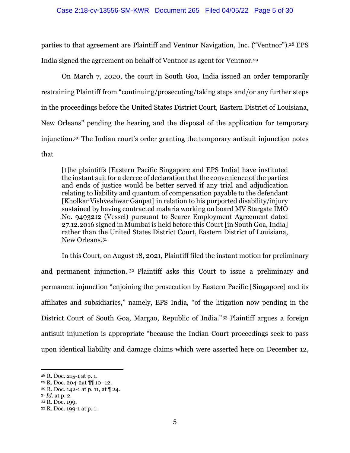parties to that agreement are Plaintiff and Ventnor Navigation, Inc. ("Ventnor").28 EPS India signed the agreement on behalf of Ventnor as agent for Ventnor.29

On March 7, 2020, the court in South Goa, India issued an order temporarily restraining Plaintiff from "continuing/prosecuting/taking steps and/or any further steps in the proceedings before the United States District Court, Eastern District of Louisiana, New Orleans" pending the hearing and the disposal of the application for temporary injunction.30 The Indian court's order granting the temporary antisuit injunction notes that

[t]he plaintiffs [Eastern Pacific Singapore and EPS India] have instituted the instant suit for a decree of declaration that the convenience of the parties and ends of justice would be better served if any trial and adjudication relating to liability and quantum of compensation payable to the defendant [Kholkar Vishveshwar Ganpat] in relation to his purported disability/injury sustained by having contracted malaria working on board MV Stargate IMO No. 9493212 (Vessel) pursuant to Searer Employment Agreement dated 27.12.2016 signed in Mumbai is held before this Court [in South Goa, India] rather than the United States District Court, Eastern District of Louisiana, New Orleans.31

 In this Court, on August 18, 2021, Plaintiff filed the instant motion for preliminary and permanent injunction. 32 Plaintiff asks this Court to issue a preliminary and permanent injunction "enjoining the prosecution by Eastern Pacific [Singapore] and its affiliates and subsidiaries," namely, EPS India, "of the litigation now pending in the District Court of South Goa, Margao, Republic of India." 33 Plaintiff argues a foreign antisuit injunction is appropriate "because the Indian Court proceedings seek to pass upon identical liability and damage claims which were asserted here on December 12,

<sup>28</sup> R. Doc. 215-1 at p. 1.

<sup>29</sup> R. Doc. 204-2at ¶¶ 10–12.

<sup>30</sup> R. Doc. 142-1 at p. 11, at ¶ 24.

<sup>31</sup> *Id.* at p. 2.

<sup>32</sup> R. Doc. 199.

<sup>33</sup> R. Doc. 199-1 at p. 1.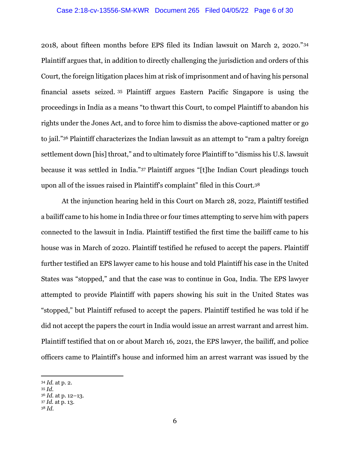#### Case 2:18-cv-13556-SM-KWR Document 265 Filed 04/05/22 Page 6 of 30

2018, about fifteen months before EPS filed its Indian lawsuit on March 2, 2020."34 Plaintiff argues that, in addition to directly challenging the jurisdiction and orders of this Court, the foreign litigation places him at risk of imprisonment and of having his personal financial assets seized. 35 Plaintiff argues Eastern Pacific Singapore is using the proceedings in India as a means "to thwart this Court, to compel Plaintiff to abandon his rights under the Jones Act, and to force him to dismiss the above-captioned matter or go to jail."<sup>36</sup> Plaintiff characterizes the Indian lawsuit as an attempt to "ram a paltry foreign settlement down [his] throat," and to ultimately force Plaintiff to "dismiss his U.S. lawsuit because it was settled in India."37 Plaintiff argues "[t]he Indian Court pleadings touch upon all of the issues raised in Plaintiff's complaint" filed in this Court.38

At the injunction hearing held in this Court on March 28, 2022, Plaintiff testified a bailiff came to his home in India three or four times attempting to serve him with papers connected to the lawsuit in India. Plaintiff testified the first time the bailiff came to his house was in March of 2020. Plaintiff testified he refused to accept the papers. Plaintiff further testified an EPS lawyer came to his house and told Plaintiff his case in the United States was "stopped," and that the case was to continue in Goa, India. The EPS lawyer attempted to provide Plaintiff with papers showing his suit in the United States was "stopped," but Plaintiff refused to accept the papers. Plaintiff testified he was told if he did not accept the papers the court in India would issue an arrest warrant and arrest him. Plaintiff testified that on or about March 16, 2021, the EPS lawyer, the bailiff, and police officers came to Plaintiff's house and informed him an arrest warrant was issued by the

<sup>34</sup> *Id.* at p. 2.

<sup>35</sup> *Id.*

<sup>36</sup> *Id.* at p. 12–13.

<sup>37</sup> *Id.* at p. 13.

<sup>38</sup> *Id.*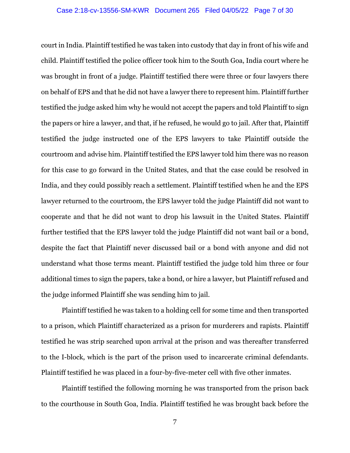court in India. Plaintiff testified he was taken into custody that day in front of his wife and child. Plaintiff testified the police officer took him to the South Goa, India court where he was brought in front of a judge. Plaintiff testified there were three or four lawyers there on behalf of EPS and that he did not have a lawyer there to represent him. Plaintiff further testified the judge asked him why he would not accept the papers and told Plaintiff to sign the papers or hire a lawyer, and that, if he refused, he would go to jail. After that, Plaintiff testified the judge instructed one of the EPS lawyers to take Plaintiff outside the courtroom and advise him. Plaintiff testified the EPS lawyer told him there was no reason for this case to go forward in the United States, and that the case could be resolved in India, and they could possibly reach a settlement. Plaintiff testified when he and the EPS lawyer returned to the courtroom, the EPS lawyer told the judge Plaintiff did not want to cooperate and that he did not want to drop his lawsuit in the United States. Plaintiff further testified that the EPS lawyer told the judge Plaintiff did not want bail or a bond, despite the fact that Plaintiff never discussed bail or a bond with anyone and did not understand what those terms meant. Plaintiff testified the judge told him three or four additional times to sign the papers, take a bond, or hire a lawyer, but Plaintiff refused and the judge informed Plaintiff she was sending him to jail.

 Plaintiff testified he was taken to a holding cell for some time and then transported to a prison, which Plaintiff characterized as a prison for murderers and rapists. Plaintiff testified he was strip searched upon arrival at the prison and was thereafter transferred to the I-block, which is the part of the prison used to incarcerate criminal defendants. Plaintiff testified he was placed in a four-by-five-meter cell with five other inmates.

Plaintiff testified the following morning he was transported from the prison back to the courthouse in South Goa, India. Plaintiff testified he was brought back before the

7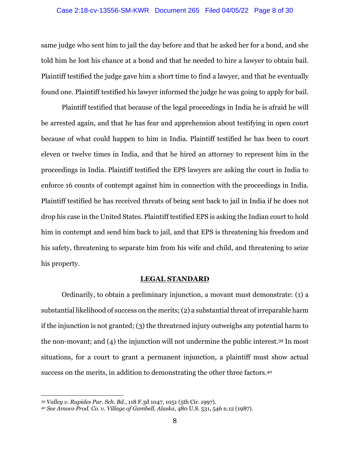#### Case 2:18-cv-13556-SM-KWR Document 265 Filed 04/05/22 Page 8 of 30

same judge who sent him to jail the day before and that he asked her for a bond, and she told him he lost his chance at a bond and that he needed to hire a lawyer to obtain bail. Plaintiff testified the judge gave him a short time to find a lawyer, and that he eventually found one. Plaintiff testified his lawyer informed the judge he was going to apply for bail.

 Plaintiff testified that because of the legal proceedings in India he is afraid he will be arrested again, and that he has fear and apprehension about testifying in open court because of what could happen to him in India. Plaintiff testified he has been to court eleven or twelve times in India, and that he hired an attorney to represent him in the proceedings in India. Plaintiff testified the EPS lawyers are asking the court in India to enforce 16 counts of contempt against him in connection with the proceedings in India. Plaintiff testified he has received threats of being sent back to jail in India if he does not drop his case in the United States. Plaintiff testified EPS is asking the Indian court to hold him in contempt and send him back to jail, and that EPS is threatening his freedom and his safety, threatening to separate him from his wife and child, and threatening to seize his property.

#### **LEGAL STANDARD**

 Ordinarily, to obtain a preliminary injunction, a movant must demonstrate: (1) a substantial likelihood of success on the merits; (2) a substantial threat of irreparable harm if the injunction is not granted; (3) the threatened injury outweighs any potential harm to the non-movant; and (4) the injunction will not undermine the public interest.39 In most situations, for a court to grant a permanent injunction, a plaintiff must show actual success on the merits, in addition to demonstrating the other three factors.40

<sup>39</sup> *Valley v. Rapides Par. Sch. Bd*., 118 F.3d 1047, 1051 (5th Cir. 1997).

<sup>40</sup> *See Amoco Prod. Co. v. Village of Gambell, Alaska*, 480 U.S. 531, 546 n.12 (1987).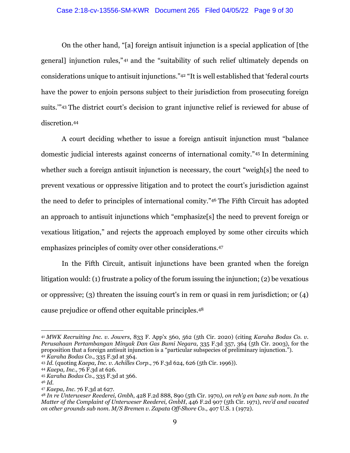#### Case 2:18-cv-13556-SM-KWR Document 265 Filed 04/05/22 Page 9 of 30

On the other hand, "[a] foreign antisuit injunction is a special application of [the general] injunction rules," 41 and the "suitability of such relief ultimately depends on considerations unique to antisuit injunctions."42 "It is well established that 'federal courts have the power to enjoin persons subject to their jurisdiction from prosecuting foreign suits.'"43 The district court's decision to grant injunctive relief is reviewed for abuse of discretion.44

A court deciding whether to issue a foreign antisuit injunction must "balance domestic judicial interests against concerns of international comity."45 In determining whether such a foreign antisuit injunction is necessary, the court "weigh[s] the need to prevent vexatious or oppressive litigation and to protect the court's jurisdiction against the need to defer to principles of international comity."46 The Fifth Circuit has adopted an approach to antisuit injunctions which "emphasize[s] the need to prevent foreign or vexatious litigation," and rejects the approach employed by some other circuits which emphasizes principles of comity over other considerations.47

In the Fifth Circuit, antisuit injunctions have been granted when the foreign litigation would: (1) frustrate a policy of the forum issuing the injunction; (2) be vexatious or oppressive; (3) threaten the issuing court's in rem or quasi in rem jurisdiction; or (4) cause prejudice or offend other equitable principles.48

<sup>41</sup> *MWK Recruiting Inc. v. Jowers*, 833 F. App'x 560, 562 (5th Cir. 2020) (citing *Karaha Bodas Co. v. Perusahaan Pertambangan Minyak Dan Gas Bumi Negara*, 335 F.3d 357, 364 (5th Cir. 2003), for the proposition that a foreign antisuit injunction is a "particular subspecies of preliminary injunction."). <sup>42</sup> *Karaha Bodas Co.*, 335 F.3d at 364.

<sup>43</sup> *Id.* (quoting *Kaepa, Inc. v. Achilles Corp.*, 76 F.3d 624, 626 (5th Cir. 1996)).

<sup>44</sup> *Kaepa, Inc.,* 76 F.3d at 626.

<sup>45</sup> *Karaha Bodas Co*., 335 F.3d at 366.

<sup>46</sup> *Id.*

<sup>47</sup> *Kaepa, Inc.* 76 F.3d at 627.

<sup>48</sup> *In re Unterweser Reederei, Gmbh*, 428 F.2d 888, 890 (5th Cir. 1970*), on reh'g en banc sub nom. In the Matter of the Complaint of Unterweser Reederei, GmbH*, 446 F.2d 907 (5th Cir. 1971), *rev'd and vacated on other grounds sub nom. M/S Bremen v. Zapata Off-Shore C*o., 407 U.S. 1 (1972).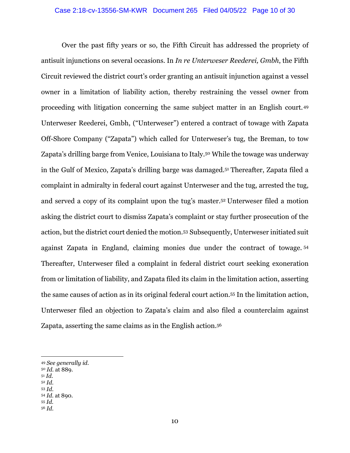Over the past fifty years or so, the Fifth Circuit has addressed the propriety of antisuit injunctions on several occasions. In *In re Unterweser Reederei, Gmbh*, the Fifth Circuit reviewed the district court's order granting an antisuit injunction against a vessel owner in a limitation of liability action, thereby restraining the vessel owner from proceeding with litigation concerning the same subject matter in an English court.49 Unterweser Reederei, Gmbh, ("Unterweser") entered a contract of towage with Zapata Off-Shore Company ("Zapata") which called for Unterweser's tug, the Breman, to tow Zapata's drilling barge from Venice, Louisiana to Italy.<sup>50</sup> While the towage was underway in the Gulf of Mexico, Zapata's drilling barge was damaged.51 Thereafter, Zapata filed a complaint in admiralty in federal court against Unterweser and the tug, arrested the tug, and served a copy of its complaint upon the tug's master.52 Unterweser filed a motion asking the district court to dismiss Zapata's complaint or stay further prosecution of the action, but the district court denied the motion.53 Subsequently, Unterweser initiated suit against Zapata in England, claiming monies due under the contract of towage. <sup>54</sup> Thereafter, Unterweser filed a complaint in federal district court seeking exoneration from or limitation of liability, and Zapata filed its claim in the limitation action, asserting the same causes of action as in its original federal court action.55 In the limitation action, Unterweser filed an objection to Zapata's claim and also filed a counterclaim against Zapata, asserting the same claims as in the English action.56

- <sup>51</sup> *Id.*
- <sup>52</sup> *Id.*
- <sup>53</sup> *Id.* <sup>54</sup> *Id.* at 890.
- <sup>55</sup> *Id.*
- <sup>56</sup> *Id.*

<sup>49</sup> *See generally id.* 

<sup>50</sup> *Id.* at 889.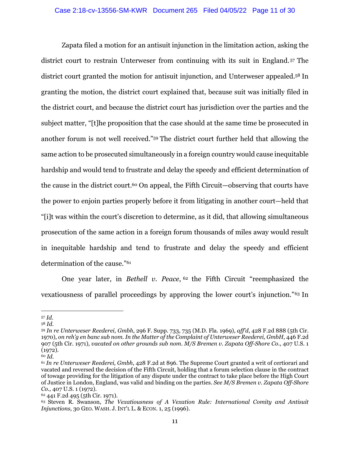Zapata filed a motion for an antisuit injunction in the limitation action, asking the district court to restrain Unterweser from continuing with its suit in England. 57 The district court granted the motion for antisuit injunction, and Unterweser appealed.58 In granting the motion, the district court explained that, because suit was initially filed in the district court, and because the district court has jurisdiction over the parties and the subject matter, "[t]he proposition that the case should at the same time be prosecuted in another forum is not well received."59 The district court further held that allowing the same action to be prosecuted simultaneously in a foreign country would cause inequitable hardship and would tend to frustrate and delay the speedy and efficient determination of the cause in the district court.<sup>60</sup> On appeal, the Fifth Circuit—observing that courts have the power to enjoin parties properly before it from litigating in another court—held that "[i]t was within the court's discretion to determine, as it did, that allowing simultaneous prosecution of the same action in a foreign forum thousands of miles away would result in inequitable hardship and tend to frustrate and delay the speedy and efficient determination of the cause."61

One year later, in *Bethell v. Peace*, 62 the Fifth Circuit "reemphasized the vexatiousness of parallel proceedings by approving the lower court's injunction."63 In

<sup>57</sup> *Id.*

<sup>58</sup> *Id.*

<sup>59</sup> *In re Unterweser Reederei, Gmbh*, 296 F. Supp. 733, 735 (M.D. Fla. 1969), *aff'd*, 428 F.2d 888 (5th Cir. 1970), *on reh'g en banc sub nom. In the Matter of the Complaint of Unterweser Reederei, GmbH*, 446 F.2d 907 (5th Cir. 1971), *vacated on other grounds sub nom*. *M/S Bremen v. Zapata Off-Shore Co*., 407 U.S. 1  $(1972).$ 

<sup>60</sup> *Id.*

<sup>61</sup> *In re Unterweser Reederei, Gmbh*, 428 F.2d at 896. The Supreme Court granted a writ of certiorari and vacated and reversed the decision of the Fifth Circuit, holding that a forum selection clause in the contract of towage providing for the litigation of any dispute under the contract to take place before the High Court of Justice in London, England, was valid and binding on the parties. *See M/S Bremen v. Zapata Off-Shore Co.,* 407 U.S. 1 (1972).

<sup>62 441</sup> F.2d 495 (5th Cir. 1971).

<sup>63</sup> Steven R. Swanson, *The Vexatiousness of A Vexation Rule: International Comity and Antisuit Injunctions*, 30 GEO. WASH. J.INT'L L. & ECON. 1, 25 (1996).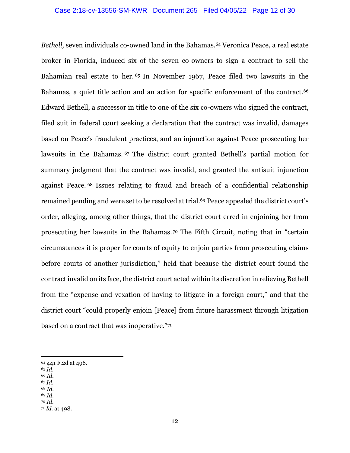*Bethell*, seven individuals co-owned land in the Bahamas.<sup>64</sup> Veronica Peace, a real estate broker in Florida, induced six of the seven co-owners to sign a contract to sell the Bahamian real estate to her. 65 In November 1967, Peace filed two lawsuits in the Bahamas, a quiet title action and an action for specific enforcement of the contract.<sup>66</sup> Edward Bethell, a successor in title to one of the six co-owners who signed the contract, filed suit in federal court seeking a declaration that the contract was invalid, damages based on Peace's fraudulent practices, and an injunction against Peace prosecuting her lawsuits in the Bahamas. 67 The district court granted Bethell's partial motion for summary judgment that the contract was invalid, and granted the antisuit injunction against Peace. 68 Issues relating to fraud and breach of a confidential relationship remained pending and were set to be resolved at trial.<sup>69</sup> Peace appealed the district court's order, alleging, among other things, that the district court erred in enjoining her from prosecuting her lawsuits in the Bahamas. 70 The Fifth Circuit, noting that in "certain circumstances it is proper for courts of equity to enjoin parties from prosecuting claims before courts of another jurisdiction," held that because the district court found the contract invalid on its face, the district court acted within its discretion in relieving Bethell from the "expense and vexation of having to litigate in a foreign court," and that the district court "could properly enjoin [Peace] from future harassment through litigation based on a contract that was inoperative."71

- <sup>65</sup> *Id.*
- <sup>66</sup> *Id.*
- <sup>67</sup> *Id.* <sup>68</sup> *Id.*
- <sup>69</sup> *Id.*
- <sup>70</sup> *Id.*

<sup>64 441</sup> F.2d at 496.

<sup>71</sup> *Id.* at 498.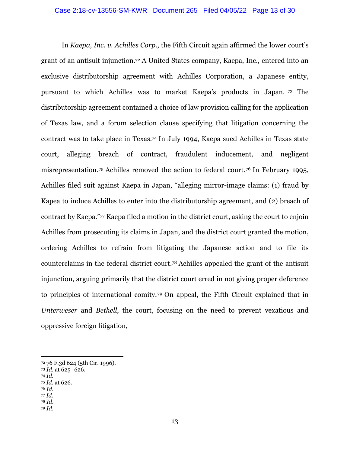In *Kaepa, Inc. v. Achilles Corp.*, the Fifth Circuit again affirmed the lower court's grant of an antisuit injunction.72 A United States company, Kaepa, Inc., entered into an exclusive distributorship agreement with Achilles Corporation, a Japanese entity, pursuant to which Achilles was to market Kaepa's products in Japan. 73 The distributorship agreement contained a choice of law provision calling for the application of Texas law, and a forum selection clause specifying that litigation concerning the contract was to take place in Texas.74 In July 1994, Kaepa sued Achilles in Texas state court, alleging breach of contract, fraudulent inducement, and negligent misrepresentation.75 Achilles removed the action to federal court.76 In February 1995, Achilles filed suit against Kaepa in Japan, "alleging mirror-image claims: (1) fraud by Kapea to induce Achilles to enter into the distributorship agreement, and (2) breach of contract by Kaepa."77 Kaepa filed a motion in the district court, asking the court to enjoin Achilles from prosecuting its claims in Japan, and the district court granted the motion, ordering Achilles to refrain from litigating the Japanese action and to file its counterclaims in the federal district court.78 Achilles appealed the grant of the antisuit injunction, arguing primarily that the district court erred in not giving proper deference to principles of international comity.79 On appeal, the Fifth Circuit explained that in *Unterweser* and *Bethell*, the court, focusing on the need to prevent vexatious and oppressive foreign litigation,

- <sup>74</sup> *Id.*
- <sup>75</sup> *Id.* at 626.
- <sup>76</sup> *Id.* <sup>77</sup> *Id.*
- <sup>78</sup> *Id.*
- <sup>79</sup> *Id.*

<sup>72 76</sup> F.3d 624 (5th Cir. 1996).

<sup>73</sup> *Id.* at 625–626.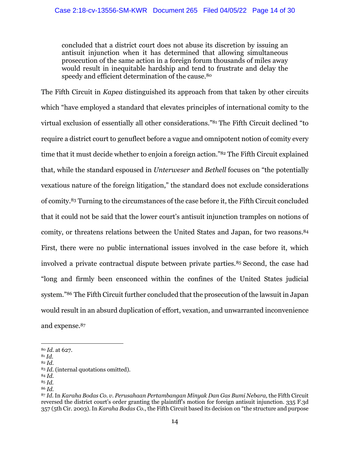concluded that a district court does not abuse its discretion by issuing an antisuit injunction when it has determined that allowing simultaneous prosecution of the same action in a foreign forum thousands of miles away would result in inequitable hardship and tend to frustrate and delay the speedy and efficient determination of the cause.<sup>80</sup>

The Fifth Circuit in *Kapea* distinguished its approach from that taken by other circuits which "have employed a standard that elevates principles of international comity to the virtual exclusion of essentially all other considerations."81 The Fifth Circuit declined "to require a district court to genuflect before a vague and omnipotent notion of comity every time that it must decide whether to enjoin a foreign action."82 The Fifth Circuit explained that, while the standard espoused in *Unterweser* and *Bethell* focuses on "the potentially vexatious nature of the foreign litigation," the standard does not exclude considerations of comity.83 Turning to the circumstances of the case before it, the Fifth Circuit concluded that it could not be said that the lower court's antisuit injunction tramples on notions of comity, or threatens relations between the United States and Japan, for two reasons.84 First, there were no public international issues involved in the case before it, which involved a private contractual dispute between private parties.85 Second, the case had "long and firmly been ensconced within the confines of the United States judicial system."86 The Fifth Circuit further concluded that the prosecution of the lawsuit in Japan would result in an absurd duplication of effort, vexation, and unwarranted inconvenience and expense.87

<sup>81</sup> *Id*. 82 *Id.*

<sup>84</sup> *Id.*

<sup>80</sup> *Id.* at 627.

<sup>83</sup> *Id.* (internal quotations omitted).

<sup>85</sup> *Id.*

<sup>86</sup> *Id.*

<sup>87</sup> *Id.* In *Karaha Bodas Co. v. Perusahaan Pertambangan Minyak Dan Gas Bumi Nebara,* the Fifth Circuit reversed the district court's order granting the plaintiff's motion for foreign antisuit injunction. 335 F.3d 357 (5th Cir. 2003). In *Karaha Bodas Co.*, the Fifth Circuit based its decision on "the structure and purpose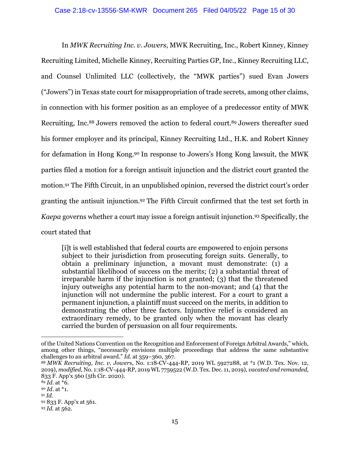In *MWK Recruiting Inc. v. Jowers*, MWK Recruiting, Inc., Robert Kinney, Kinney Recruiting Limited, Michelle Kinney, Recruiting Parties GP, Inc., Kinney Recruiting LLC, and Counsel Unlimited LLC (collectively, the "MWK parties") sued Evan Jowers ("Jowers") in Texas state court for misappropriation of trade secrets, among other claims, in connection with his former position as an employee of a predecessor entity of MWK Recruiting, Inc.<sup>88</sup> Jowers removed the action to federal court.<sup>89</sup> Jowers thereafter sued his former employer and its principal, Kinney Recruiting Ltd., H.K. and Robert Kinney for defamation in Hong Kong.90 In response to Jowers's Hong Kong lawsuit, the MWK parties filed a motion for a foreign antisuit injunction and the district court granted the motion.91 The Fifth Circuit, in an unpublished opinion, reversed the district court's order granting the antisuit injunction.92 The Fifth Circuit confirmed that the test set forth in *Kaepa* governs whether a court may issue a foreign antisuit injunction.93 Specifically, the court stated that

[i]t is well established that federal courts are empowered to enjoin persons subject to their jurisdiction from prosecuting foreign suits. Generally, to obtain a preliminary injunction, a movant must demonstrate: (1) a substantial likelihood of success on the merits; (2) a substantial threat of irreparable harm if the injunction is not granted; (3) that the threatened injury outweighs any potential harm to the non-movant; and (4) that the injunction will not undermine the public interest. For a court to grant a permanent injunction, a plaintiff must succeed on the merits, in addition to demonstrating the other three factors. Injunctive relief is considered an extraordinary remedy, to be granted only when the movant has clearly carried the burden of persuasion on all four requirements.

of the United Nations Convention on the Recognition and Enforcement of Foreign Arbitral Awards," which, among other things, "necessarily envisions multiple proceedings that address the same substantive challenges to an arbitral award." *Id.* at 359–360, 367.

<sup>88</sup> *MWK Recruiting, Inc. v. Jowers*, No. 1:18-CV-444-RP, 2019 WL 5927288, at \*1 (W.D. Tex. Nov. 12, 2019), *modified*, No. 1:18-CV-444-RP, 2019 WL 7759522 (W.D. Tex. Dec. 11, 2019), *vacated and remanded*, 833 F. App'x 560 (5th Cir. 2020).

<sup>89</sup> *Id.* at \*6.

<sup>90</sup> *Id*. at \*1.

<sup>91</sup> *Id.*

<sup>92 833</sup> F. App'x at 561.

<sup>93</sup> *Id.* at 562.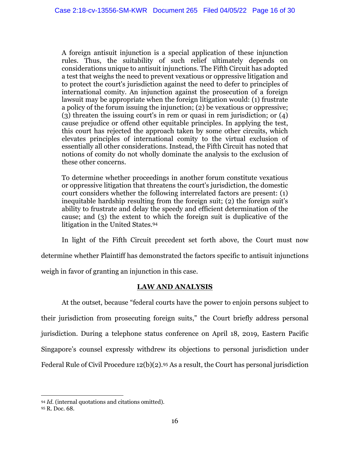A foreign antisuit injunction is a special application of these injunction rules. Thus, the suitability of such relief ultimately depends on considerations unique to antisuit injunctions. The Fifth Circuit has adopted a test that weighs the need to prevent vexatious or oppressive litigation and to protect the court's jurisdiction against the need to defer to principles of international comity. An injunction against the prosecution of a foreign lawsuit may be appropriate when the foreign litigation would: (1) frustrate a policy of the forum issuing the injunction; (2) be vexatious or oppressive; (3) threaten the issuing court's in rem or quasi in rem jurisdiction; or (4) cause prejudice or offend other equitable principles. In applying the test, this court has rejected the approach taken by some other circuits, which elevates principles of international comity to the virtual exclusion of essentially all other considerations. Instead, the Fifth Circuit has noted that notions of comity do not wholly dominate the analysis to the exclusion of these other concerns.

To determine whether proceedings in another forum constitute vexatious or oppressive litigation that threatens the court's jurisdiction, the domestic court considers whether the following interrelated factors are present: (1) inequitable hardship resulting from the foreign suit; (2) the foreign suit's ability to frustrate and delay the speedy and efficient determination of the cause; and (3) the extent to which the foreign suit is duplicative of the litigation in the United States.94

 In light of the Fifth Circuit precedent set forth above, the Court must now determine whether Plaintiff has demonstrated the factors specific to antisuit injunctions weigh in favor of granting an injunction in this case.

# **LAW AND ANALYSIS**

At the outset, because "federal courts have the power to enjoin persons subject to their jurisdiction from prosecuting foreign suits," the Court briefly address personal jurisdiction. During a telephone status conference on April 18, 2019, Eastern Pacific Singapore's counsel expressly withdrew its objections to personal jurisdiction under Federal Rule of Civil Procedure 12(b)(2).95 As a result, the Court has personal jurisdiction

<sup>94</sup> *Id.* (internal quotations and citations omitted).

<sup>95</sup> R. Doc. 68.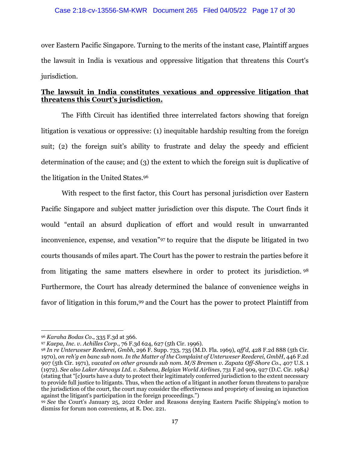over Eastern Pacific Singapore. Turning to the merits of the instant case, Plaintiff argues the lawsuit in India is vexatious and oppressive litigation that threatens this Court's jurisdiction.

# **The lawsuit in India constitutes vexatious and oppressive litigation that threatens this Court's jurisdiction.**

The Fifth Circuit has identified three interrelated factors showing that foreign litigation is vexatious or oppressive: (1) inequitable hardship resulting from the foreign suit; (2) the foreign suit's ability to frustrate and delay the speedy and efficient determination of the cause; and (3) the extent to which the foreign suit is duplicative of the litigation in the United States.96

With respect to the first factor, this Court has personal jurisdiction over Eastern Pacific Singapore and subject matter jurisdiction over this dispute. The Court finds it would "entail an absurd duplication of effort and would result in unwarranted inconvenience, expense, and vexation"97 to require that the dispute be litigated in two courts thousands of miles apart. The Court has the power to restrain the parties before it from litigating the same matters elsewhere in order to protect its jurisdiction. <sup>98</sup> Furthermore, the Court has already determined the balance of convenience weighs in favor of litigation in this forum,<sup>99</sup> and the Court has the power to protect Plaintiff from

<sup>96</sup> *Karaha Bodas Co*., 335 F.3d at 366.

<sup>97</sup> *Kaepa, Inc. v. Achilles Corp*., 76 F.3d 624, 627 (5th Cir. 1996).

<sup>98</sup> *In re Unterweser Reederei, Gmbh*, 296 F. Supp. 733, 735 (M.D. Fla. 1969), *aff'd*, 428 F.2d 888 (5th Cir. 1970), *on reh'g en banc sub nom. In the Matter of the Complaint of Unterweser Reederei, GmbH*, 446 F.2d 907 (5th Cir. 1971), *vacated on other grounds sub nom. M/S Bremen v. Zapata Off-Shore Co*., 407 U.S. 1 (1972). *See also Laker Airways Ltd. v. Sabena, Belgian World Airlines*, 731 F.2d 909, 927 (D.C. Cir. 1984*)*  (stating that "[c]ourts have a duty to protect their legitimately conferred jurisdiction to the extent necessary to provide full justice to litigants. Thus, when the action of a litigant in another forum threatens to paralyze the jurisdiction of the court, the court may consider the effectiveness and propriety of issuing an injunction against the litigant's participation in the foreign proceedings.")

<sup>99</sup> *See* the Court's January 25, 2022 Order and Reasons denying Eastern Pacific Shipping's motion to dismiss for forum non conveniens, at R. Doc. 221.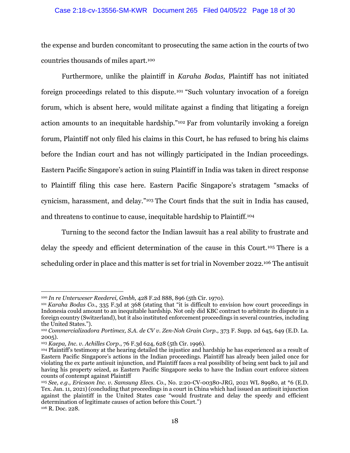#### Case 2:18-cv-13556-SM-KWR Document 265 Filed 04/05/22 Page 18 of 30

the expense and burden concomitant to prosecuting the same action in the courts of two countries thousands of miles apart.100

 Furthermore, unlike the plaintiff in *Karaha Bodas,* Plaintiff has not initiated foreign proceedings related to this dispute.101 "Such voluntary invocation of a foreign forum, which is absent here, would militate against a finding that litigating a foreign action amounts to an inequitable hardship."102 Far from voluntarily invoking a foreign forum, Plaintiff not only filed his claims in this Court, he has refused to bring his claims before the Indian court and has not willingly participated in the Indian proceedings. Eastern Pacific Singapore's action in suing Plaintiff in India was taken in direct response to Plaintiff filing this case here. Eastern Pacific Singapore's stratagem "smacks of cynicism, harassment, and delay."103 The Court finds that the suit in India has caused, and threatens to continue to cause, inequitable hardship to Plaintiff.104

 Turning to the second factor the Indian lawsuit has a real ability to frustrate and delay the speedy and efficient determination of the cause in this Court.105 There is a scheduling order in place and this matter is set for trial in November 2022.106 The antisuit

<sup>&</sup>lt;sup>100</sup> *In re Unterweser Reederei, Gmbh,* 428 F.2d 888, 896 (5th Cir. 1970).<br><sup>101</sup> *Karaha Bodas Co.*, 335 F.3d at 368 (stating that "it is difficult to envision how court proceedings in Indonesia could amount to an inequitable hardship. Not only did KBC contract to arbitrate its dispute in a foreign country (Switzerland), but it also instituted enforcement proceedings in several countries, including the United States.").

<sup>102</sup> *Commercializadora Portimex, S.A. de CV v. Zen-Noh Grain Corp*., 373 F. Supp. 2d 645, 649 (E.D. La. 2005).

<sup>103</sup> *Kaepa, Inc. v. Achilles Corp*., 76 F.3d 624, 628 (5th Cir. 1996).

<sup>104</sup> Plaintiff's testimony at the hearing detailed the injustice and hardship he has experienced as a result of Eastern Pacific Singapore's actions in the Indian proceedings. Plaintiff has already been jailed once for violating the ex parte antisuit injunction, and Plaintiff faces a real possibility of being sent back to jail and having his property seized, as Eastern Pacific Singapore seeks to have the Indian court enforce sixteen counts of contempt against Plaintiff

<sup>105</sup> *See, e.g., Ericsson Inc. v. Samsung Elecs. Co.,* No. 2:20-CV-00380-JRG, 2021 WL 89980, at \*6 (E.D. Tex. Jan. 11, 2021) (concluding that proceedings in a court in China which had issued an antisuit injunction against the plaintiff in the United States case "would frustrate and delay the speedy and efficient determination of legitimate causes of action before this Court.") 106 R. Doc. 228.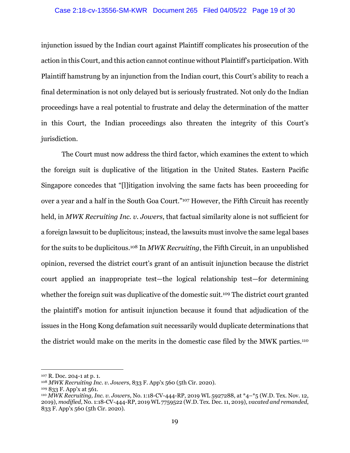#### Case 2:18-cv-13556-SM-KWR Document 265 Filed 04/05/22 Page 19 of 30

injunction issued by the Indian court against Plaintiff complicates his prosecution of the action in this Court, and this action cannot continue without Plaintiff's participation. With Plaintiff hamstrung by an injunction from the Indian court, this Court's ability to reach a final determination is not only delayed but is seriously frustrated. Not only do the Indian proceedings have a real potential to frustrate and delay the determination of the matter in this Court, the Indian proceedings also threaten the integrity of this Court's jurisdiction.

 The Court must now address the third factor, which examines the extent to which the foreign suit is duplicative of the litigation in the United States. Eastern Pacific Singapore concedes that "[l]itigation involving the same facts has been proceeding for over a year and a half in the South Goa Court."107 However, the Fifth Circuit has recently held, in *MWK Recruiting Inc. v. Jowers*, that factual similarity alone is not sufficient for a foreign lawsuit to be duplicitous; instead, the lawsuits must involve the same legal bases for the suits to be duplicitous.108 In *MWK Recruiting*, the Fifth Circuit, in an unpublished opinion, reversed the district court's grant of an antisuit injunction because the district court applied an inappropriate test—the logical relationship test—for determining whether the foreign suit was duplicative of the domestic suit.<sup>109</sup> The district court granted the plaintiff's motion for antisuit injunction because it found that adjudication of the issues in the Hong Kong defamation suit necessarily would duplicate determinations that the district would make on the merits in the domestic case filed by the MWK parties.110

<sup>107</sup> R. Doc. 204-1 at p. 1.

<sup>108</sup> *MWK Recruiting Inc. v. Jowers*, 833 F. App'x 560 (5th Cir. 2020).

<sup>109 833</sup> F. App'x at 561. 110 *MWK Recruiting, Inc. v. Jowers*, No. 1:18-CV-444-RP, 2019 WL 5927288, at \*4–\*5 (W.D. Tex. Nov. 12, 2019), *modified*, No. 1:18-CV-444-RP, 2019 WL 7759522 (W.D. Tex. Dec. 11, 2019), *vacated and remanded*, 833 F. App'x 560 (5th Cir. 2020).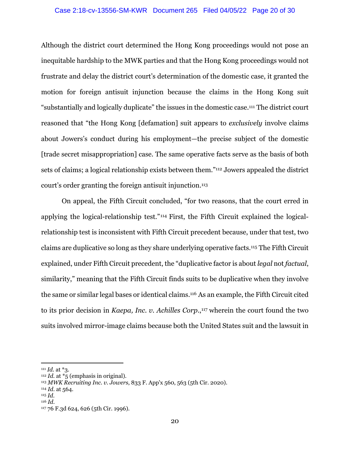#### Case 2:18-cv-13556-SM-KWR Document 265 Filed 04/05/22 Page 20 of 30

Although the district court determined the Hong Kong proceedings would not pose an inequitable hardship to the MWK parties and that the Hong Kong proceedings would not frustrate and delay the district court's determination of the domestic case, it granted the motion for foreign antisuit injunction because the claims in the Hong Kong suit "substantially and logically duplicate" the issues in the domestic case.111 The district court reasoned that "the Hong Kong [defamation] suit appears to *exclusively* involve claims about Jowers's conduct during his employment—the precise subject of the domestic [trade secret misappropriation] case. The same operative facts serve as the basis of both sets of claims; a logical relationship exists between them."112 Jowers appealed the district court's order granting the foreign antisuit injunction.113

On appeal, the Fifth Circuit concluded, "for two reasons, that the court erred in applying the logical-relationship test."114 First, the Fifth Circuit explained the logicalrelationship test is inconsistent with Fifth Circuit precedent because, under that test, two claims are duplicative so long as they share underlying operative facts.115 The Fifth Circuit explained, under Fifth Circuit precedent, the "duplicative factor is about *legal* not *factual*, similarity," meaning that the Fifth Circuit finds suits to be duplicative when they involve the same or similar legal bases or identical claims.116 As an example, the Fifth Circuit cited to its prior decision in *Kaepa, Inc. v. Achilles Corp.*,<sup>117</sup> wherein the court found the two suits involved mirror-image claims because both the United States suit and the lawsuit in

<sup>&</sup>lt;sup>111</sup> *Id.* at  $*$ 3. <sup>112</sup> *Id.* at  $*$ <sub>5</sub> (emphasis in original).

<sup>113</sup> *MWK Recruiting Inc. v. Jowers*, 833 F. App'x 560, 563 (5th Cir. 2020).

<sup>114</sup> *Id.* at 564.

<sup>115</sup> *Id.*

<sup>116</sup> *Id.*

<sup>117 76</sup> F.3d 624, 626 (5th Cir. 1996).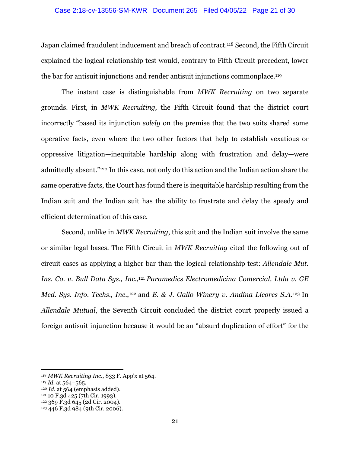#### Case 2:18-cv-13556-SM-KWR Document 265 Filed 04/05/22 Page 21 of 30

Japan claimed fraudulent inducement and breach of contract.118 Second, the Fifth Circuit explained the logical relationship test would, contrary to Fifth Circuit precedent, lower the bar for antisuit injunctions and render antisuit injunctions commonplace.119

The instant case is distinguishable from *MWK Recruiting* on two separate grounds. First, in *MWK Recruiting,* the Fifth Circuit found that the district court incorrectly "based its injunction *solely* on the premise that the two suits shared some operative facts, even where the two other factors that help to establish vexatious or oppressive litigation—inequitable hardship along with frustration and delay—were admittedly absent."120 In this case, not only do this action and the Indian action share the same operative facts, the Court has found there is inequitable hardship resulting from the Indian suit and the Indian suit has the ability to frustrate and delay the speedy and efficient determination of this case.

Second, unlike in *MWK Recruiting*, this suit and the Indian suit involve the same or similar legal bases. The Fifth Circuit in *MWK Recruiting* cited the following out of circuit cases as applying a higher bar than the logical-relationship test: *Allendale Mut. Ins. Co. v. Bull Data Sys., Inc*.,121 *Paramedics Electromedicina Comercial, Ltda v. GE Med. Sys. Info. Techs., Inc.,*<sup>122</sup> and *E. & J. Gallo Winery v. Andina Licores S.A.*<sup>123</sup> In *Allendale Mutual*, the Seventh Circuit concluded the district court properly issued a foreign antisuit injunction because it would be an "absurd duplication of effort" for the

<sup>118</sup> *MWK Recruiting Inc*., 833 F. App'x at 564.

<sup>&</sup>lt;sup>119</sup> *Id.* at 564–565.<br><sup>120</sup> *Id.* at 564 (emphasis added).<br><sup>121</sup> 10 F.3d 425 (7th Cir. 1993).<br><sup>122</sup> 369 F.3d 645 (2d Cir. 2004).

<sup>123 446</sup> F.3d 984 (9th Cir. 2006).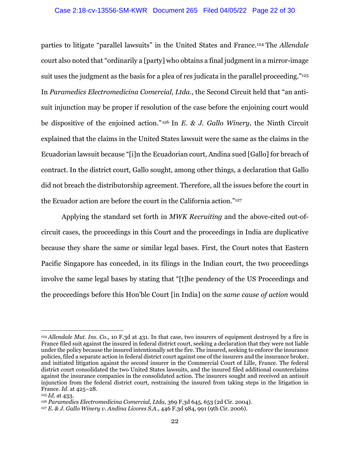#### Case 2:18-cv-13556-SM-KWR Document 265 Filed 04/05/22 Page 22 of 30

parties to litigate "parallel lawsuits" in the United States and France.124 The *Allendale*  court also noted that "ordinarily a [party] who obtains a final judgment in a mirror-image suit uses the judgment as the basis for a plea of res judicata in the parallel proceeding."<sup>125</sup> In *Paramedics Electromedicina Comercial, Ltda.*, the Second Circuit held that "an antisuit injunction may be proper if resolution of the case before the enjoining court would be dispositive of the enjoined action." 126 In *E. & J. Gallo Winery*, the Ninth Circuit explained that the claims in the United States lawsuit were the same as the claims in the Ecuadorian lawsuit because "[i]n the Ecuadorian court, Andina sued [Gallo] for breach of contract. In the district court, Gallo sought, among other things, a declaration that Gallo did not breach the distributorship agreement. Therefore, all the issues before the court in the Ecuador action are before the court in the California action."127

Applying the standard set forth in *MWK Recruiting* and the above-cited out-ofcircuit cases, the proceedings in this Court and the proceedings in India are duplicative because they share the same or similar legal bases. First, the Court notes that Eastern Pacific Singapore has conceded, in its filings in the Indian court, the two proceedings involve the same legal bases by stating that "[t]he pendency of the US Proceedings and the proceedings before this Hon'ble Court [in India] on the *same cause of action* would

<sup>124</sup> *Allendale Mut. Ins. Co.*, 10 F.3d at 431. In that case, two insurers of equipment destroyed by a fire in France filed suit against the insured in federal district court, seeking a declaration that they were not liable under the policy because the insured intentionally set the fire. The insured, seeking to enforce the insurance policies, filed a separate action in federal district court against one of the insurers and the insurance broker, and initiated litigation against the second insurer in the Commercial Court of Lille, France. The federal district court consolidated the two United States lawsuits, and the insured filed additional counterclaims against the insurance companies in the consolidated action. The insurers sought and received an antisuit injunction from the federal district court, restraining the insured from taking steps in the litigation in France. *Id.* at 425–28.

<sup>125</sup> *Id.* at 433.

<sup>126</sup> *Paramedics Electromedicina Comercial, Ltda,* 369 F.3d 645, 653 (2d Cir. 2004).

<sup>127</sup> *E. & J. Gallo Winery v. Andina Licores S.A*., 446 F.3d 984, 991 (9th Cir. 2006).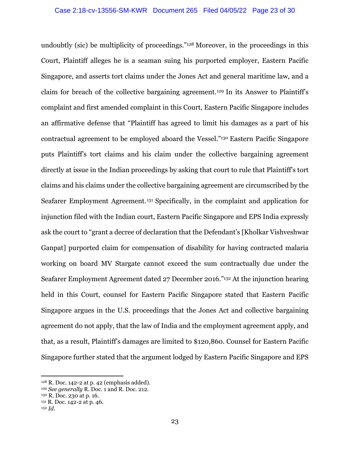undoubtly (sic) be multiplicity of proceedings."128 Moreover, in the proceedings in this Court, Plaintiff alleges he is a seaman suing his purported employer, Eastern Pacific Singapore, and asserts tort claims under the Jones Act and general maritime law, and a claim for breach of the collective bargaining agreement.129 In its Answer to Plaintiff's complaint and first amended complaint in this Court, Eastern Pacific Singapore includes an affirmative defense that "Plaintiff has agreed to limit his damages as a part of his contractual agreement to be employed aboard the Vessel."130 Eastern Pacific Singapore puts Plaintiff's tort claims and his claim under the collective bargaining agreement directly at issue in the Indian proceedings by asking that court to rule that Plaintiff's tort claims and his claims under the collective bargaining agreement are circumscribed by the Seafarer Employment Agreement.131 Specifically, in the complaint and application for injunction filed with the Indian court, Eastern Pacific Singapore and EPS India expressly ask the court to "grant a decree of declaration that the Defendant's [Kholkar Vishveshwar Ganpat] purported claim for compensation of disability for having contracted malaria working on board MV Stargate cannot exceed the sum contractually due under the Seafarer Employment Agreement dated 27 December 2016."132 At the injunction hearing held in this Court, counsel for Eastern Pacific Singapore stated that Eastern Pacific Singapore argues in the U.S. proceedings that the Jones Act and collective bargaining agreement do not apply, that the law of India and the employment agreement apply, and that, as a result, Plaintiff's damages are limited to \$120,860. Counsel for Eastern Pacific Singapore further stated that the argument lodged by Eastern Pacific Singapore and EPS

<sup>128</sup> R. Doc. 142-2 at p. 42 (emphasis added).

<sup>129</sup> *See generally* R. Doc. 1 and R. Doc. 212.

<sup>130</sup> R. Doc. 230 at p. 16.

<sup>&</sup>lt;sup>131</sup> R. Doc. 142-2 at p. 46.

<sup>132</sup> *Id.*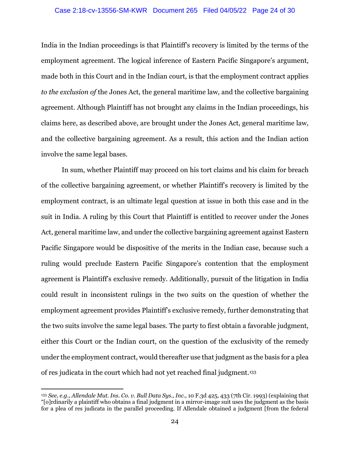#### Case 2:18-cv-13556-SM-KWR Document 265 Filed 04/05/22 Page 24 of 30

India in the Indian proceedings is that Plaintiff's recovery is limited by the terms of the employment agreement. The logical inference of Eastern Pacific Singapore's argument, made both in this Court and in the Indian court, is that the employment contract applies *to the exclusion of* the Jones Act, the general maritime law, and the collective bargaining agreement. Although Plaintiff has not brought any claims in the Indian proceedings, his claims here, as described above, are brought under the Jones Act, general maritime law, and the collective bargaining agreement. As a result, this action and the Indian action involve the same legal bases.

In sum, whether Plaintiff may proceed on his tort claims and his claim for breach of the collective bargaining agreement, or whether Plaintiff's recovery is limited by the employment contract, is an ultimate legal question at issue in both this case and in the suit in India. A ruling by this Court that Plaintiff is entitled to recover under the Jones Act, general maritime law, and under the collective bargaining agreement against Eastern Pacific Singapore would be dispositive of the merits in the Indian case, because such a ruling would preclude Eastern Pacific Singapore's contention that the employment agreement is Plaintiff's exclusive remedy. Additionally, pursuit of the litigation in India could result in inconsistent rulings in the two suits on the question of whether the employment agreement provides Plaintiff's exclusive remedy, further demonstrating that the two suits involve the same legal bases. The party to first obtain a favorable judgment, either this Court or the Indian court, on the question of the exclusivity of the remedy under the employment contract, would thereafter use that judgment as the basis for a plea of res judicata in the court which had not yet reached final judgment.133

<sup>133</sup> *See, e.g., Allendale Mut. Ins. Co. v. Bull Data Sys., Inc.,* 10 F.3d 425, 433 (7th Cir. 1993) (explaining that "[o]rdinarily a plaintiff who obtains a final judgment in a mirror-image suit uses the judgment as the basis for a plea of res judicata in the parallel proceeding. If Allendale obtained a judgment [from the federal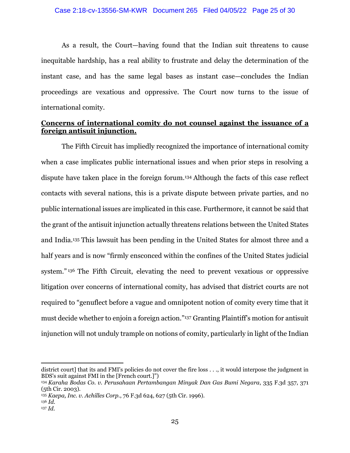As a result, the Court—having found that the Indian suit threatens to cause inequitable hardship, has a real ability to frustrate and delay the determination of the instant case, and has the same legal bases as instant case—concludes the Indian proceedings are vexatious and oppressive. The Court now turns to the issue of international comity.

# **Concerns of international comity do not counsel against the issuance of a foreign antisuit injunction.**

The Fifth Circuit has impliedly recognized the importance of international comity when a case implicates public international issues and when prior steps in resolving a dispute have taken place in the foreign forum.134 Although the facts of this case reflect contacts with several nations, this is a private dispute between private parties, and no public international issues are implicated in this case. Furthermore, it cannot be said that the grant of the antisuit injunction actually threatens relations between the United States and India.135 This lawsuit has been pending in the United States for almost three and a half years and is now "firmly ensconced within the confines of the United States judicial system." 136 The Fifth Circuit, elevating the need to prevent vexatious or oppressive litigation over concerns of international comity, has advised that district courts are not required to "genuflect before a vague and omnipotent notion of comity every time that it must decide whether to enjoin a foreign action."137 Granting Plaintiff's motion for antisuit injunction will not unduly trample on notions of comity, particularly in light of the Indian

district court] that its and FMI's policies do not cover the fire loss . . ., it would interpose the judgment in BDS's suit against FMI in the [French court.]")

<sup>134</sup> *Karaha Bodas Co. v. Perusahaan Pertambangan Minyak Dan Gas Bumi Negara*, 335 F.3d 357, 371 (5th Cir. 2003).

<sup>135</sup> *Kaepa, Inc. v. Achilles Corp.*, 76 F.3d 624, 627 (5th Cir. 1996).

<sup>136</sup> *Id.*

<sup>137</sup> *Id.*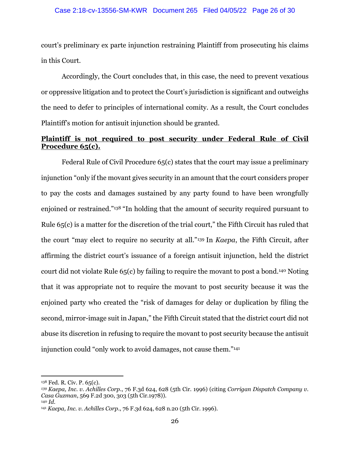court's preliminary ex parte injunction restraining Plaintiff from prosecuting his claims in this Court.

Accordingly, the Court concludes that, in this case, the need to prevent vexatious or oppressive litigation and to protect the Court's jurisdiction is significant and outweighs the need to defer to principles of international comity. As a result, the Court concludes Plaintiff's motion for antisuit injunction should be granted.

# **Plaintiff is not required to post security under Federal Rule of Civil Procedure 65(c).**

Federal Rule of Civil Procedure 65(c) states that the court may issue a preliminary injunction "only if the movant gives security in an amount that the court considers proper to pay the costs and damages sustained by any party found to have been wrongfully enjoined or restrained."138 "In holding that the amount of security required pursuant to Rule 65(c) is a matter for the discretion of the trial court," the Fifth Circuit has ruled that the court "may elect to require no security at all."139 In *Kaepa*, the Fifth Circuit, after affirming the district court's issuance of a foreign antisuit injunction, held the district court did not violate Rule 65(c) by failing to require the movant to post a bond.140 Noting that it was appropriate not to require the movant to post security because it was the enjoined party who created the "risk of damages for delay or duplication by filing the second, mirror-image suit in Japan," the Fifth Circuit stated that the district court did not abuse its discretion in refusing to require the movant to post security because the antisuit injunction could "only work to avoid damages, not cause them."141

<sup>138</sup> Fed. R. Civ. P. 65(c).

*<sup>139</sup> Kaepa, Inc. v. Achilles Corp*., 76 F.3d 624, 628 (5th Cir. 1996) (citing *Corrigan Dispatch Company v. Casa Guzman*, 569 F.2d 300, 303 (5th Cir.1978)).

<sup>140</sup> *Id.* 

<sup>141</sup> *Kaepa, Inc. v. Achilles Corp*., 76 F.3d 624, 628 n.20 (5th Cir. 1996).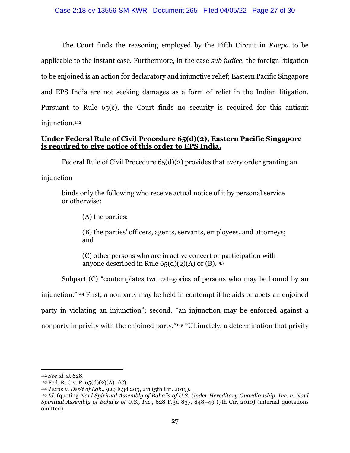The Court finds the reasoning employed by the Fifth Circuit in *Kaepa* to be applicable to the instant case. Furthermore, in the case *sub judice*, the foreign litigation to be enjoined is an action for declaratory and injunctive relief; Eastern Pacific Singapore and EPS India are not seeking damages as a form of relief in the Indian litigation. Pursuant to Rule 65(c), the Court finds no security is required for this antisuit injunction.142

# **Under Federal Rule of Civil Procedure 65(d)(2), Eastern Pacific Singapore is required to give notice of this order to EPS India.**

Federal Rule of Civil Procedure 65(d)(2) provides that every order granting an

injunction

binds only the following who receive actual notice of it by personal service or otherwise:

(A) the parties;

(B) the parties' officers, agents, servants, employees, and attorneys; and

(C) other persons who are in active concert or participation with anyone described in Rule  $65(d)(2)(A)$  or (B).<sup>143</sup>

 Subpart (C) "contemplates two categories of persons who may be bound by an injunction."144 First, a nonparty may be held in contempt if he aids or abets an enjoined party in violating an injunction"; second, "an injunction may be enforced against a nonparty in privity with the enjoined party."<sup>145</sup> "Ultimately, a determination that privity

<sup>142</sup> *See id.* at 628.

 $143$  Fed. R. Civ. P.  $65(d)(2)(A)$ –(C).

<sup>144</sup> *Texas v. Dep't of Lab*., 929 F.3d 205, 211 (5th Cir. 2019).

<sup>145</sup> *Id.* (quoting *Nat'l Spiritual Assembly of Baha'is of U.S. Under Hereditary Guardianship, Inc. v. Nat'l Spiritual Assembly of Baha'is of U.S., Inc*., 628 F.3d 837, 848–49 (7th Cir. 2010) (internal quotations omitted).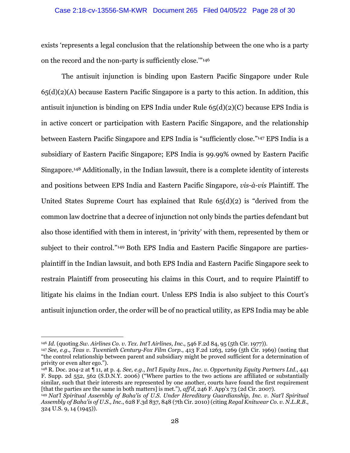#### Case 2:18-cv-13556-SM-KWR Document 265 Filed 04/05/22 Page 28 of 30

exists 'represents a legal conclusion that the relationship between the one who is a party on the record and the non-party is sufficiently close.'"146

The antisuit injunction is binding upon Eastern Pacific Singapore under Rule 65(d)(2)(A) because Eastern Pacific Singapore is a party to this action. In addition, this antisuit injunction is binding on EPS India under Rule 65(d)(2)(C) because EPS India is in active concert or participation with Eastern Pacific Singapore, and the relationship between Eastern Pacific Singapore and EPS India is "sufficiently close."147 EPS India is a subsidiary of Eastern Pacific Singapore; EPS India is 99.99% owned by Eastern Pacific Singapore.148 Additionally, in the Indian lawsuit, there is a complete identity of interests and positions between EPS India and Eastern Pacific Singapore, *vis-à-vis* Plaintiff. The United States Supreme Court has explained that Rule 65(d)(2) is "derived from the common law doctrine that a decree of injunction not only binds the parties defendant but also those identified with them in interest, in 'privity' with them, represented by them or subject to their control."149 Both EPS India and Eastern Pacific Singapore are partiesplaintiff in the Indian lawsuit, and both EPS India and Eastern Pacific Singapore seek to restrain Plaintiff from prosecuting his claims in this Court, and to require Plaintiff to litigate his claims in the Indian court. Unless EPS India is also subject to this Court's antisuit injunction order, the order will be of no practical utility, as EPS India may be able

<sup>146</sup> *Id.* (quoting *Sw. Airlines Co. v. Tex. Int'l Airlines, Inc*., 546 F.2d 84, 95 (5th Cir. 1977)).

<sup>147</sup> *See, e.g., Teas v. Twentieth Century-Fox Film Corp.*, 413 F.2d 1263, 1269 (5th Cir. 1969) (noting that "the control relationship between parent and subsidiary might be proved sufficient for a determination of privity or even alter ego.").

<sup>148</sup> R. Doc. 204-2 at ¶ 11, at p. 4. *See, e.g*., *Int'l Equity Invs., Inc. v. Opportunity Equity Partners Ltd*., 441 F. Supp. 2d 552, 562 (S.D.N.Y. 2006) ("Where parties to the two actions are affiliated or substantially similar, such that their interests are represented by one another, courts have found the first requirement [that the parties are the same in both matters] is met."), *aff'd*, 246 F. App'x 73 (2d Cir. 2007).

<sup>149</sup> *Nat'l Spiritual Assembly of Baha'is of U.S. Under Hereditary Guardianship, Inc. v. Nat'l Spiritual Assembly of Baha'is of U.S., Inc*., 628 F.3d 837, 848 (7th Cir. 2010) (citing *Regal Knitwear Co. v. N.L.R.B*., 324 U.S. 9, 14 (1945)).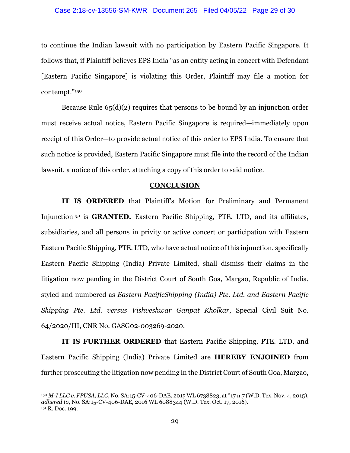#### Case 2:18-cv-13556-SM-KWR Document 265 Filed 04/05/22 Page 29 of 30

to continue the Indian lawsuit with no participation by Eastern Pacific Singapore. It follows that, if Plaintiff believes EPS India "as an entity acting in concert with Defendant [Eastern Pacific Singapore] is violating this Order, Plaintiff may file a motion for contempt."150

Because Rule  $65(d)(2)$  requires that persons to be bound by an injunction order must receive actual notice, Eastern Pacific Singapore is required—immediately upon receipt of this Order—to provide actual notice of this order to EPS India. To ensure that such notice is provided, Eastern Pacific Singapore must file into the record of the Indian lawsuit, a notice of this order, attaching a copy of this order to said notice.

#### **CONCLUSION**

**IT IS ORDERED** that Plaintiff's Motion for Preliminary and Permanent Injunction 151 is **GRANTED.** Eastern Pacific Shipping, PTE. LTD, and its affiliates, subsidiaries, and all persons in privity or active concert or participation with Eastern Eastern Pacific Shipping, PTE. LTD, who have actual notice of this injunction, specifically Eastern Pacific Shipping (India) Private Limited, shall dismiss their claims in the litigation now pending in the District Court of South Goa, Margao, Republic of India, styled and numbered as *Eastern PacificShipping (India) Pte. Ltd. and Eastern Pacific Shipping Pte. Ltd. versus Vishveshwar Ganpat Kholkar*, Special Civil Suit No. 64/2020/III, CNR No. GASG02-003269-2020.

**IT IS FURTHER ORDERED** that Eastern Pacific Shipping, PTE. LTD, and Eastern Pacific Shipping (India) Private Limited are **HEREBY ENJOINED** from further prosecuting the litigation now pending in the District Court of South Goa, Margao,

<sup>150</sup> *M-I LLC v. FPUSA, LLC*, No. SA:15-CV-406-DAE, 2015 WL 6738823, at \*17 n.7 (W.D. Tex. Nov. 4, 2015), *adhered to*, No. SA:15-CV-406-DAE, 2016 WL 6088344 (W.D. Tex. Oct. 17, 2016). 151 R. Doc. 199.